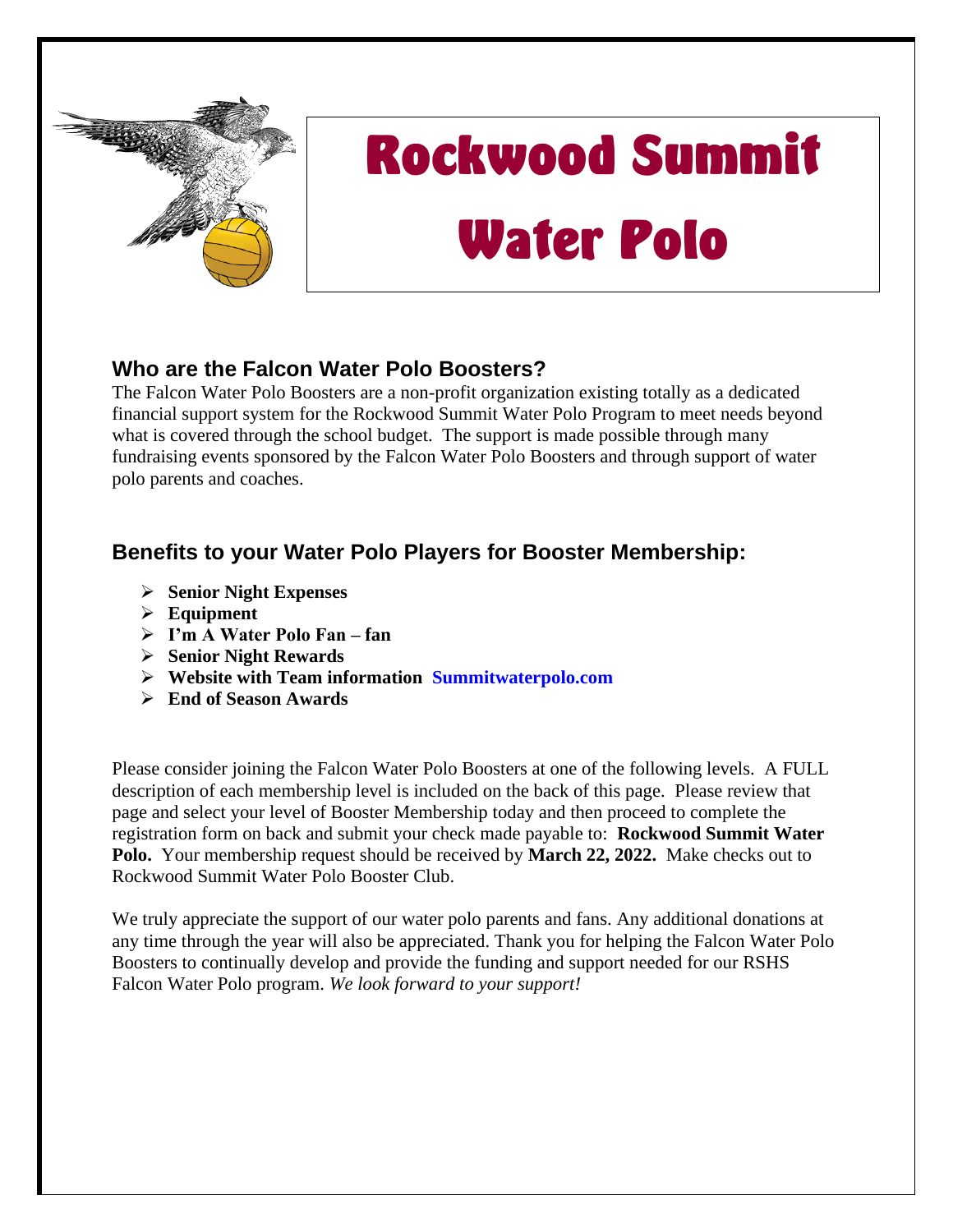

## Rockwood Summit Water Polo

## **Who are the Falcon Water Polo Boosters?**

The Falcon Water Polo Boosters are a non-profit organization existing totally as a dedicated financial support system for the Rockwood Summit Water Polo Program to meet needs beyond what is covered through the school budget. The support is made possible through many fundraising events sponsored by the Falcon Water Polo Boosters and through support of water polo parents and coaches.

## **Benefits to your Water Polo Players for Booster Membership:**

- ➢ **Senior Night Expenses**
- ➢ **Equipment**
- ➢ **I'm A Water Polo Fan – fan**
- ➢ **Senior Night Rewards**
- ➢ **Website with Team information Summitwaterpolo.com**
- ➢ **End of Season Awards**

Please consider joining the Falcon Water Polo Boosters at one of the following levels. A FULL description of each membership level is included on the back of this page. Please review that page and select your level of Booster Membership today and then proceed to complete the registration form on back and submit your check made payable to: **Rockwood Summit Water Polo.** Your membership request should be received by **March 22, 2022.** Make checks out to Rockwood Summit Water Polo Booster Club.

We truly appreciate the support of our water polo parents and fans. Any additional donations at any time through the year will also be appreciated. Thank you for helping the Falcon Water Polo Boosters to continually develop and provide the funding and support needed for our RSHS Falcon Water Polo program. *We look forward to your support!*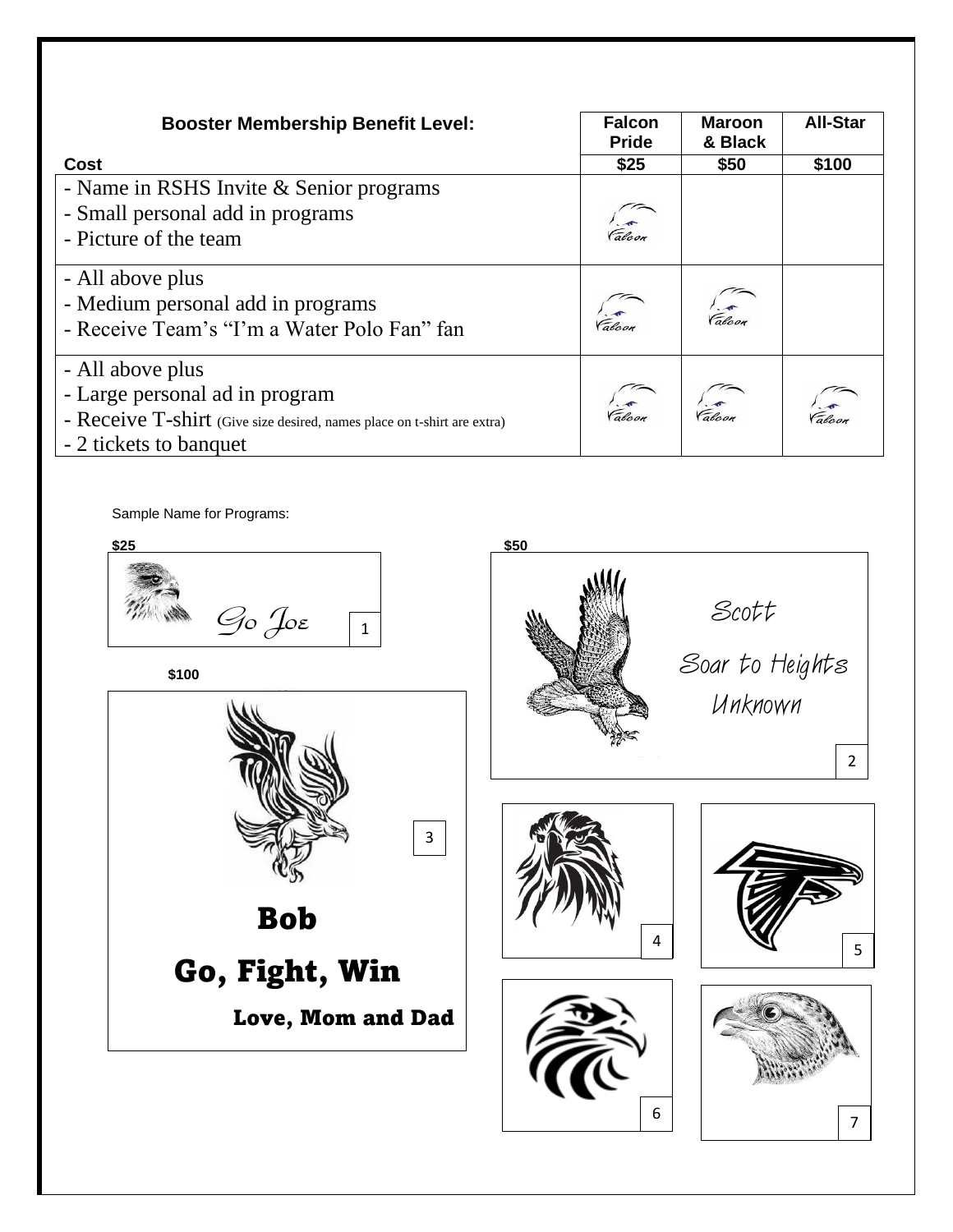| <b>Booster Membership Benefit Level:</b>                                                                                                                | <b>Falcon</b><br><b>Pride</b> | <b>Maroon</b><br>& Black | <b>All-Star</b>             |
|---------------------------------------------------------------------------------------------------------------------------------------------------------|-------------------------------|--------------------------|-----------------------------|
| Cost                                                                                                                                                    | \$25                          | \$50                     | \$100                       |
| - Name in RSHS Invite & Senior programs<br>- Small personal add in programs<br>- Picture of the team                                                    | r.<br>Falcon                  |                          |                             |
| - All above plus<br>- Medium personal add in programs<br>- Receive Team's "I'm a Water Polo Fan" fan                                                    | $\sqrt{\frac{2}{\pi}}$        | <i>V</i><br>Falcon       |                             |
| - All above plus<br>- Large personal ad in program<br>- Receive T-shirt (Give size desired, names place on t-shirt are extra)<br>- 2 tickets to banquet |                               | Falcon Falcon            | $\sqrt{\frac{2}{\epsilon}}$ |

Sample Name for Programs: